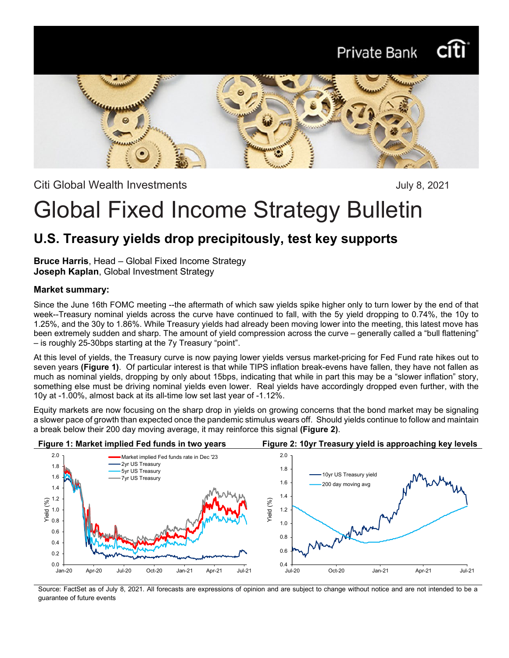# Private Bank



Citi Global Wealth Investments **Citia Communishers** July 8, 2021

# Global Fixed Income Strategy Bulletin

### **U.S. Treasury yields drop precipitously, test key supports**

**Bruce Harris**, Head – Global Fixed Income Strategy **Joseph Kaplan**, Global Investment Strategy

#### **Market summary:**

Since the June 16th FOMC meeting --the aftermath of which saw yields spike higher only to turn lower by the end of that week--Treasury nominal yields across the curve have continued to fall, with the 5y yield dropping to 0.74%, the 10y to 1.25%, and the 30y to 1.86%. While Treasury yields had already been moving lower into the meeting, this latest move has been extremely sudden and sharp. The amount of yield compression across the curve – generally called a "bull flattening" – is roughly 25-30bps starting at the 7y Treasury "point".

At this level of yields, the Treasury curve is now paying lower yields versus market-pricing for Fed Fund rate hikes out to seven years **(Figure 1)**. Of particular interest is that while TIPS inflation break-evens have fallen, they have not fallen as much as nominal yields, dropping by only about 15bps, indicating that while in part this may be a "slower inflation" story, something else must be driving nominal yields even lower. Real yields have accordingly dropped even further, with the 10y at -1.00%, almost back at its all-time low set last year of -1.12%.

Equity markets are now focusing on the sharp drop in yields on growing concerns that the bond market may be signaling a slower pace of growth than expected once the pandemic stimulus wears off. Should yields continue to follow and maintain a break below their 200 day moving average, it may reinforce this signal **(Figure 2)**.



Source: FactSet as of July 8, 2021. All forecasts are expressions of opinion and are subject to change without notice and are not intended to be a guarantee of future events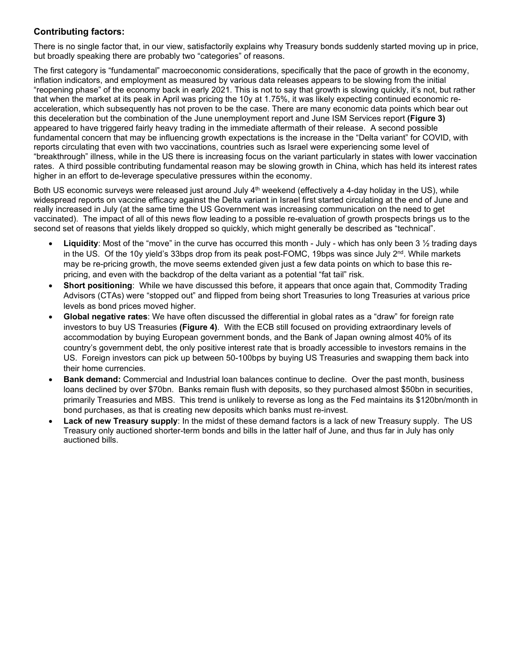### **Contributing factors:**

There is no single factor that, in our view, satisfactorily explains why Treasury bonds suddenly started moving up in price, but broadly speaking there are probably two "categories" of reasons.

The first category is "fundamental" macroeconomic considerations, specifically that the pace of growth in the economy, inflation indicators, and employment as measured by various data releases appears to be slowing from the initial "reopening phase" of the economy back in early 2021. This is not to say that growth is slowing quickly, it's not, but rather that when the market at its peak in April was pricing the 10y at 1.75%, it was likely expecting continued economic reacceleration, which subsequently has not proven to be the case. There are many economic data points which bear out this deceleration but the combination of the June unemployment report and June ISM Services report **(Figure 3)** appeared to have triggered fairly heavy trading in the immediate aftermath of their release. A second possible fundamental concern that may be influencing growth expectations is the increase in the "Delta variant" for COVID, with reports circulating that even with two vaccinations, countries such as Israel were experiencing some level of "breakthrough" illness, while in the US there is increasing focus on the variant particularly in states with lower vaccination rates. A third possible contributing fundamental reason may be slowing growth in China, which has held its interest rates higher in an effort to de-leverage speculative pressures within the economy.

Both US economic surveys were released just around July 4<sup>th</sup> weekend (effectively a 4-day holiday in the US), while widespread reports on vaccine efficacy against the Delta variant in Israel first started circulating at the end of June and really increased in July (at the same time the US Government was increasing communication on the need to get vaccinated). The impact of all of this news flow leading to a possible re-evaluation of growth prospects brings us to the second set of reasons that yields likely dropped so quickly, which might generally be described as "technical".

- **Liquidity**: Most of the "move" in the curve has occurred this month July which has only been 3 ½ trading days in the US. Of the 10y yield's 33bps drop from its peak post-FOMC, 19bps was since July  $2^{nd}$ . While markets may be re-pricing growth, the move seems extended given just a few data points on which to base this repricing, and even with the backdrop of the delta variant as a potential "fat tail" risk.
- **Short positioning**: While we have discussed this before, it appears that once again that, Commodity Trading Advisors (CTAs) were "stopped out" and flipped from being short Treasuries to long Treasuries at various price levels as bond prices moved higher.
- **Global negative rates**: We have often discussed the differential in global rates as a "draw" for foreign rate investors to buy US Treasuries **(Figure 4)**. With the ECB still focused on providing extraordinary levels of accommodation by buying European government bonds, and the Bank of Japan owning almost 40% of its country's government debt, the only positive interest rate that is broadly accessible to investors remains in the US. Foreign investors can pick up between 50-100bps by buying US Treasuries and swapping them back into their home currencies.
- **Bank demand:** Commercial and Industrial loan balances continue to decline. Over the past month, business loans declined by over \$70bn. Banks remain flush with deposits, so they purchased almost \$50bn in securities, primarily Treasuries and MBS. This trend is unlikely to reverse as long as the Fed maintains its \$120bn/month in bond purchases, as that is creating new deposits which banks must re-invest.
- **Lack of new Treasury supply**: In the midst of these demand factors is a lack of new Treasury supply. The US Treasury only auctioned shorter-term bonds and bills in the latter half of June, and thus far in July has only auctioned bills.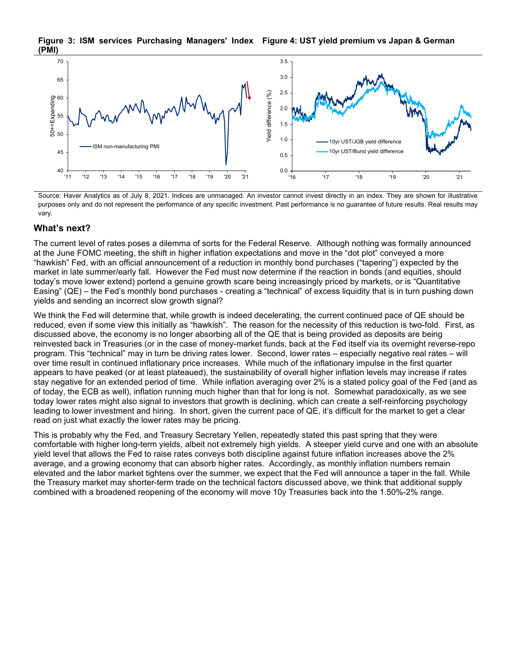

**Figure 3: ISM services Purchasing Managers' Index Figure 4: UST yield premium vs Japan & German (PMI)**

Source: Haver Analytics as of July 8, 2021. Indices are unmanaged. An investor cannot invest directly in an index. They are shown for illustrative purposes only and do not represent the performance of any specific investment. Past performance is no guarantee of future results. Real results may vary.

#### **What's next?**

The current level of rates poses a dilemma of sorts for the Federal Reserve. Although nothing was formally announced at the June FOMC meeting, the shift in higher inflation expectations and move in the "dot plot" conveyed a more "hawkish" Fed, with an official announcement of a reduction in monthly bond purchases ("tapering") expected by the market in late summer/early fall. However the Fed must now determine if the reaction in bonds (and equities, should today's move lower extend) portend a genuine growth scare being increasingly priced by markets, or is "Quantitative Easing" (QE) – the Fed's monthly bond purchases - creating a "technical" of excess liquidity that is in turn pushing down yields and sending an incorrect slow growth signal?

We think the Fed will determine that, while growth is indeed decelerating, the current continued pace of QE should be reduced, even if some view this initially as "hawkish". The reason for the necessity of this reduction is two-fold. First, as discussed above, the economy is no longer absorbing all of the QE that is being provided as deposits are being reinvested back in Treasuries (or in the case of money-market funds, back at the Fed itself via its overnight reverse-repo program. This "technical" may in turn be driving rates lower. Second, lower rates – especially negative real rates – will over time result in continued inflationary price increases. While much of the inflationary impulse in the first quarter appears to have peaked (or at least plateaued), the sustainability of overall higher inflation levels may increase if rates stay negative for an extended period of time. While inflation averaging over 2% is a stated policy goal of the Fed (and as of today, the ECB as well), inflation running much higher than that for long is not. Somewhat paradoxically, as we see today lower rates might also signal to investors that growth is declining, which can create a self-reinforcing psychology leading to lower investment and hiring. In short, given the current pace of QE, it's difficult for the market to get a clear read on just what exactly the lower rates may be pricing.

This is probably why the Fed, and Treasury Secretary Yellen, repeatedly stated this past spring that they were comfortable with higher long-term yields, albeit not extremely high yields. A steeper yield curve and one with an absolute yield level that allows the Fed to raise rates conveys both discipline against future inflation increases above the 2% average, and a growing economy that can absorb higher rates. Accordingly, as monthly inflation numbers remain elevated and the labor market tightens over the summer, we expect that the Fed will announce a taper in the fall. While the Treasury market may shorter-term trade on the technical factors discussed above, we think that additional supply combined with a broadened reopening of the economy will move 10y Treasuries back into the 1.50%-2% range.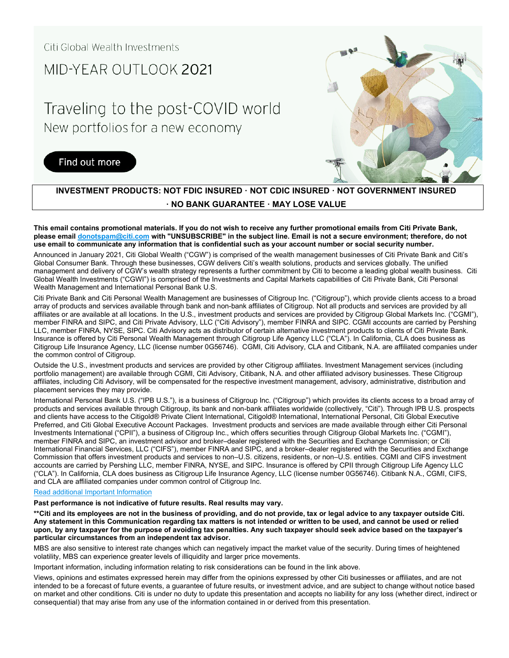### MID-YFAR OUTLOOK 2021

## Traveling to the post-COVID world New portfolios for a new economy

### Find out more



### **INVESTMENT PRODUCTS: NOT FDIC INSURED · NOT CDIC INSURED · NOT GOVERNMENT INSURED · NO BANK GUARANTEE · MAY LOSE VALUE**

**This email contains promotional materials. If you do not wish to receive any further promotional emails from Citi Private Bank, please emai[l donotspam@citi.com](mailto:donotspam@citi.com) with "UNSUBSCRIBE" in the subject line. Email is not a secure environment; therefore, do not use email to communicate any information that is confidential such as your account number or social security number.**

Announced in January 2021, Citi Global Wealth ("CGW") is comprised of the wealth management businesses of Citi Private Bank and Citi's Global Consumer Bank. Through these businesses, CGW delivers Citi's wealth solutions, products and services globally. The unified management and delivery of CGW's wealth strategy represents a further commitment by Citi to become a leading global wealth business. Citi Global Wealth Investments ("CGWI") is comprised of the Investments and Capital Markets capabilities of Citi Private Bank, Citi Personal Wealth Management and International Personal Bank U.S.

Citi Private Bank and Citi Personal Wealth Management are businesses of Citigroup Inc. ("Citigroup"), which provide clients access to a broad array of products and services available through bank and non-bank affiliates of Citigroup. Not all products and services are provided by all affiliates or are available at all locations. In the U.S., investment products and services are provided by Citigroup Global Markets Inc. ("CGMI"), member FINRA and SIPC, and Citi Private Advisory, LLC ("Citi Advisory"), member FINRA and SIPC. CGMI accounts are carried by Pershing LLC, member FINRA, NYSE, SIPC. Citi Advisory acts as distributor of certain alternative investment products to clients of Citi Private Bank. Insurance is offered by Citi Personal Wealth Management through Citigroup Life Agency LLC ("CLA"). In California, CLA does business as Citigroup Life Insurance Agency, LLC (license number 0G56746). CGMI, Citi Advisory, CLA and Citibank, N.A. are affiliated companies under the common control of Citigroup.

Outside the U.S., investment products and services are provided by other Citigroup affiliates. Investment Management services (including portfolio management) are available through CGMI, Citi Advisory, Citibank, N.A. and other affiliated advisory businesses. These Citigroup affiliates, including Citi Advisory, will be compensated for the respective investment management, advisory, administrative, distribution and placement services they may provide.

International Personal Bank U.S. ("IPB U.S."), is a business of Citigroup Inc. ("Citigroup") which provides its clients access to a broad array of products and services available through Citigroup, its bank and non-bank affiliates worldwide (collectively, "Citi"). Through IPB U.S. prospects and clients have access to the Citigold® Private Client International, Citigold® International, International Personal, Citi Global Executive Preferred, and Citi Global Executive Account Packages. Investment products and services are made available through either Citi Personal Investments International ("CPII"), a business of Citigroup Inc., which offers securities through Citigroup Global Markets Inc. ("CGMI"), member FINRA and SIPC, an investment advisor and broker–dealer registered with the Securities and Exchange Commission; or Citi International Financial Services, LLC ("CIFS"), member FINRA and SIPC, and a broker–dealer registered with the Securities and Exchange Commission that offers investment products and services to non–U.S. citizens, residents, or non–U.S. entities. CGMI and CIFS investment accounts are carried by Pershing LLC, member FINRA, NYSE, and SIPC. Insurance is offered by CPII through Citigroup Life Agency LLC ("CLA"). In California, CLA does business as Citigroup Life Insurance Agency, LLC (license number 0G56746). Citibank N.A., CGMI, CIFS, and CLA are affiliated companies under common control of Citigroup Inc.

#### [Read additional Important Information](https://www.privatebank.citibank.com/important-disclosure)

**Past performance is not indicative of future results. Real results may vary.**

**\*\*Citi and its employees are not in the business of providing, and do not provide, tax or legal advice to any taxpayer outside Citi. Any statement in this Communication regarding tax matters is not intended or written to be used, and cannot be used or relied upon, by any taxpayer for the purpose of avoiding tax penalties. Any such taxpayer should seek advice based on the taxpayer's particular circumstances from an independent tax advisor.**

MBS are also sensitive to interest rate changes which can negatively impact the market value of the security. During times of heightened volatility, MBS can experience greater levels of illiquidity and larger price movements.

Important information, including information relating to risk considerations can be found in the link above.

Views, opinions and estimates expressed herein may differ from the opinions expressed by other Citi businesses or affiliates, and are not intended to be a forecast of future events, a guarantee of future results, or investment advice, and are subject to change without notice based on market and other conditions. Citi is under no duty to update this presentation and accepts no liability for any loss (whether direct, indirect or consequential) that may arise from any use of the information contained in or derived from this presentation.